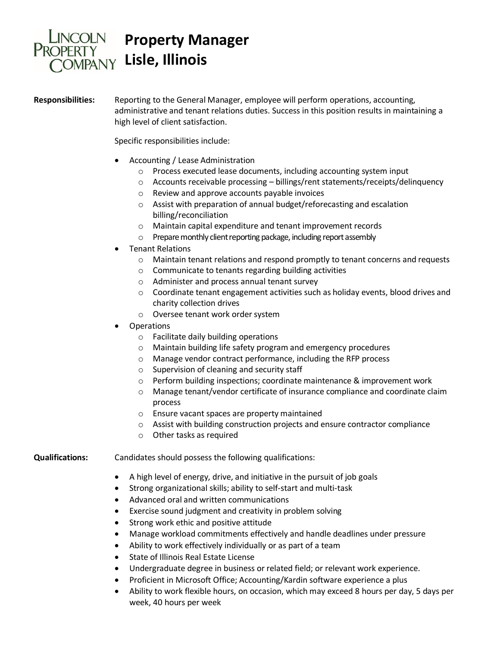

## **Property Manager Lisle, Illinois**

**Responsibilities:** Reporting to the General Manager, employee will perform operations, accounting, administrative and tenant relations duties. Success in this position results in maintaining a high level of client satisfaction.

Specific responsibilities include:

- Accounting / Lease Administration
	- o Process executed lease documents, including accounting system input
	- o Accounts receivable processing billings/rent statements/receipts/delinquency
	- o Review and approve accounts payable invoices
	- o Assist with preparation of annual budget/reforecasting and escalation billing/reconciliation
	- o Maintain capital expenditure and tenant improvement records
	- o Prepare monthly client reporting package, including report assembly
- Tenant Relations
	- o Maintain tenant relations and respond promptly to tenant concerns and requests
	- o Communicate to tenants regarding building activities
	- o Administer and process annual tenant survey
	- $\circ$  Coordinate tenant engagement activities such as holiday events, blood drives and charity collection drives
	- o Oversee tenant work order system
- Operations
	- o Facilitate daily building operations
	- o Maintain building life safety program and emergency procedures
	- o Manage vendor contract performance, including the RFP process
	- o Supervision of cleaning and security staff
	- o Perform building inspections; coordinate maintenance & improvement work
	- o Manage tenant/vendor certificate of insurance compliance and coordinate claim process
	- o Ensure vacant spaces are property maintained
	- o Assist with building construction projects and ensure contractor compliance
	- o Other tasks as required

**Qualifications:** Candidates should possess the following qualifications:

- A high level of energy, drive, and initiative in the pursuit of job goals
- Strong organizational skills; ability to self-start and multi-task
- Advanced oral and written communications
- Exercise sound judgment and creativity in problem solving
- Strong work ethic and positive attitude
- Manage workload commitments effectively and handle deadlines under pressure
- Ability to work effectively individually or as part of a team
- State of Illinois Real Estate License
- Undergraduate degree in business or related field; or relevant work experience.
- Proficient in Microsoft Office; Accounting/Kardin software experience a plus
- Ability to work flexible hours, on occasion, which may exceed 8 hours per day, 5 days per week, 40 hours per week